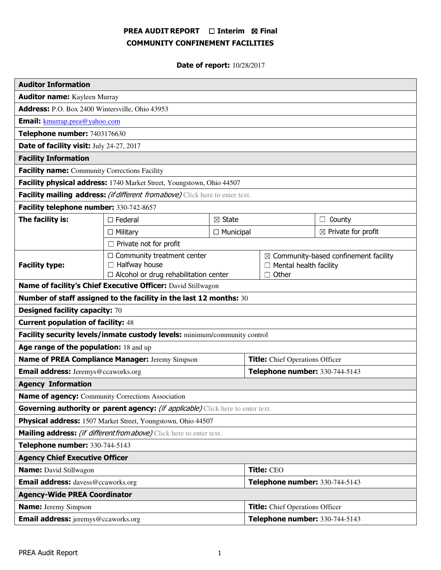# PREA AUDIT REPORT □ Interim 図 Final COMMUNITY CONFINEMENT FACILITIES

**Date of report: 10/28/2017** 

| <b>Auditor Information</b>                                                             |                                                                                                           |                   |                                        |                                                                                                      |                                |
|----------------------------------------------------------------------------------------|-----------------------------------------------------------------------------------------------------------|-------------------|----------------------------------------|------------------------------------------------------------------------------------------------------|--------------------------------|
| <b>Auditor name:</b> Kayleen Murray                                                    |                                                                                                           |                   |                                        |                                                                                                      |                                |
| Address: P.O. Box 2400 Wintersville, Ohio 43953                                        |                                                                                                           |                   |                                        |                                                                                                      |                                |
| Email: kmurrap.prea@yahoo.com                                                          |                                                                                                           |                   |                                        |                                                                                                      |                                |
| Telephone number: 7403176630                                                           |                                                                                                           |                   |                                        |                                                                                                      |                                |
| Date of facility visit: July 24-27, 2017                                               |                                                                                                           |                   |                                        |                                                                                                      |                                |
| <b>Facility Information</b>                                                            |                                                                                                           |                   |                                        |                                                                                                      |                                |
| <b>Facility name:</b> Community Corrections Facility                                   |                                                                                                           |                   |                                        |                                                                                                      |                                |
| Facility physical address: 1740 Market Street, Youngstown, Ohio 44507                  |                                                                                                           |                   |                                        |                                                                                                      |                                |
| Facility mailing address: (if different from above) Click here to enter text.          |                                                                                                           |                   |                                        |                                                                                                      |                                |
| Facility telephone number: 330-742-8657                                                |                                                                                                           |                   |                                        |                                                                                                      |                                |
| The facility is:                                                                       | $\Box$ Federal                                                                                            | $\boxtimes$ State |                                        |                                                                                                      | $\Box$ County                  |
|                                                                                        | $\Box$ Military                                                                                           | $\Box$ Municipal  |                                        |                                                                                                      | $\boxtimes$ Private for profit |
| $\Box$ Private not for profit                                                          |                                                                                                           |                   |                                        |                                                                                                      |                                |
| <b>Facility type:</b>                                                                  | $\Box$ Community treatment center<br>$\Box$ Halfway house<br>$\Box$ Alcohol or drug rehabilitation center |                   |                                        | $\boxtimes$ Community-based confinement facility<br>$\Box$ Mental health facility<br>Other<br>$\Box$ |                                |
| Name of facility's Chief Executive Officer: David Stillwagon                           |                                                                                                           |                   |                                        |                                                                                                      |                                |
| Number of staff assigned to the facility in the last 12 months: 30                     |                                                                                                           |                   |                                        |                                                                                                      |                                |
| <b>Designed facility capacity: 70</b>                                                  |                                                                                                           |                   |                                        |                                                                                                      |                                |
| <b>Current population of facility: 48</b>                                              |                                                                                                           |                   |                                        |                                                                                                      |                                |
| Facility security levels/inmate custody levels: minimum/community control              |                                                                                                           |                   |                                        |                                                                                                      |                                |
| Age range of the population: 18 and up                                                 |                                                                                                           |                   |                                        |                                                                                                      |                                |
| Name of PREA Compliance Manager: Jeremy Simpson                                        |                                                                                                           |                   | <b>Title:</b> Chief Operations Officer |                                                                                                      |                                |
| <b>Email address:</b> Jeremys@ccaworks.org                                             |                                                                                                           |                   | Telephone number: 330-744-5143         |                                                                                                      |                                |
| <b>Agency Information</b>                                                              |                                                                                                           |                   |                                        |                                                                                                      |                                |
| Name of agency: Community Corrections Association                                      |                                                                                                           |                   |                                        |                                                                                                      |                                |
| Governing authority or parent agency: <i>(if applicable)</i> Click here to enter text. |                                                                                                           |                   |                                        |                                                                                                      |                                |
| Physical address: 1507 Market Street, Youngstown, Ohio 44507                           |                                                                                                           |                   |                                        |                                                                                                      |                                |
| Mailing address: <i>(if different from above)</i> Click here to enter text.            |                                                                                                           |                   |                                        |                                                                                                      |                                |
| Telephone number: 330-744-5143                                                         |                                                                                                           |                   |                                        |                                                                                                      |                                |
| <b>Agency Chief Executive Officer</b>                                                  |                                                                                                           |                   |                                        |                                                                                                      |                                |
| <b>Name:</b> David Stillwagon                                                          |                                                                                                           |                   | Title: CEO                             |                                                                                                      |                                |
| <b>Email address:</b> davess@ccaworks.org                                              |                                                                                                           |                   | Telephone number: 330-744-5143         |                                                                                                      |                                |
| <b>Agency-Wide PREA Coordinator</b>                                                    |                                                                                                           |                   |                                        |                                                                                                      |                                |
| <b>Name:</b> Jeremy Simpson                                                            |                                                                                                           |                   | <b>Title:</b> Chief Operations Officer |                                                                                                      |                                |
| <b>Email address:</b> jeremys@ccaworks.org                                             |                                                                                                           |                   | Telephone number: 330-744-5143         |                                                                                                      |                                |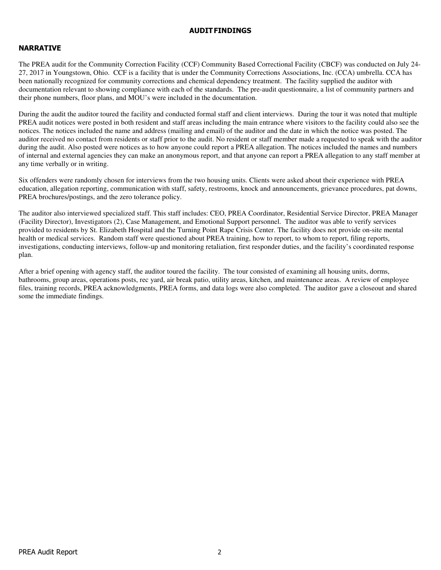### AUDIT FINDINGS

# NARRATIVE

The PREA audit for the Community Correction Facility (CCF) Community Based Correctional Facility (CBCF) was conducted on July 24- 27, 2017 in Youngstown, Ohio. CCF is a facility that is under the Community Corrections Associations, Inc. (CCA) umbrella. CCA has been nationally recognized for community corrections and chemical dependency treatment. The facility supplied the auditor with documentation relevant to showing compliance with each of the standards. The pre-audit questionnaire, a list of community partners and their phone numbers, floor plans, and MOU's were included in the documentation.

During the audit the auditor toured the facility and conducted formal staff and client interviews. During the tour it was noted that multiple PREA audit notices were posted in both resident and staff areas including the main entrance where visitors to the facility could also see the notices. The notices included the name and address (mailing and email) of the auditor and the date in which the notice was posted. The auditor received no contact from residents or staff prior to the audit. No resident or staff member made a requested to speak with the auditor during the audit. Also posted were notices as to how anyone could report a PREA allegation. The notices included the names and numbers of internal and external agencies they can make an anonymous report, and that anyone can report a PREA allegation to any staff member at any time verbally or in writing.

Six offenders were randomly chosen for interviews from the two housing units. Clients were asked about their experience with PREA education, allegation reporting, communication with staff, safety, restrooms, knock and announcements, grievance procedures, pat downs, PREA brochures/postings, and the zero tolerance policy.

The auditor also interviewed specialized staff. This staff includes: CEO, PREA Coordinator, Residential Service Director, PREA Manager (Facility Director), Investigators (2), Case Management, and Emotional Support personnel. The auditor was able to verify services provided to residents by St. Elizabeth Hospital and the Turning Point Rape Crisis Center. The facility does not provide on-site mental health or medical services. Random staff were questioned about PREA training, how to report, to whom to report, filing reports, investigations, conducting interviews, follow-up and monitoring retaliation, first responder duties, and the facility's coordinated response plan.

After a brief opening with agency staff, the auditor toured the facility. The tour consisted of examining all housing units, dorms, bathrooms, group areas, operations posts, rec yard, air break patio, utility areas, kitchen, and maintenance areas. A review of employee files, training records, PREA acknowledgments, PREA forms, and data logs were also completed. The auditor gave a closeout and shared some the immediate findings.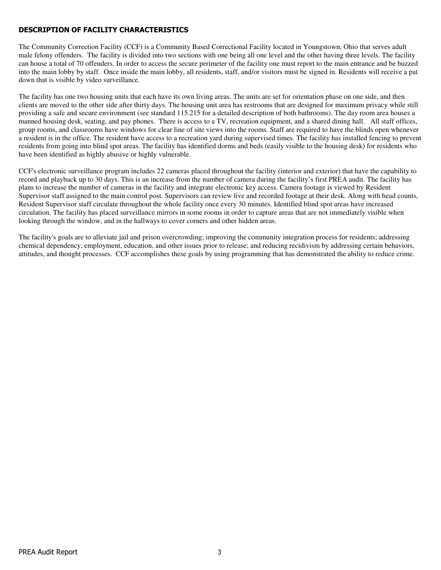# DESCRIPTION OF FACILITY CHARACTERISTICS

The Community Correction Facility (CCF) is a Community Based Correctional Facility located in Youngstown, Ohio that serves adult male felony offenders. The facility is divided into two sections with one being all one level and the other having three levels. The facility can house a total of 70 offenders. In order to access the secure perimeter of the facility one must report to the main entrance and be buzzed into the main lobby by staff. Once inside the main lobby, all residents, staff, and/or visitors must be signed in. Residents will receive a pat down that is visible by video surveillance.

The facility has one two housing units that each have its own living areas. The units are set for orientation phase on one side, and then clients are moved to the other side after thirty days. The housing unit area has restrooms that are designed for maximum privacy while still providing a safe and secure environment (see standard 115.215 for a detailed description of both bathrooms). The day room area houses a manned housing desk, seating, and pay phones. There is access to a TV, recreation equipment, and a shared dining hall. All staff offices, group rooms, and classrooms have windows for clear line of site views into the rooms. Staff are required to have the blinds open whenever a resident is in the office. The resident have access to a recreation yard during supervised times. The facility has installed fencing to prevent residents from going into blind spot areas. The facility has identified dorms and beds (easily visible to the housing desk) for residents who have been identified as highly abusive or highly vulnerable.

CCF's electronic surveillance program includes 22 cameras placed throughout the facility (interior and exterior) that have the capability to record and playback up to 30 days. This is an increase from the number of camera during the facility's first PREA audit. The facility has plans to increase the number of cameras in the facility and integrate electronic key access. Camera footage is viewed by Resident Supervisor staff assigned to the main control post. Supervisors can review live and recorded footage at their desk. Along with head counts, Resident Supervisor staff circulate throughout the whole facility once every 30 minutes. Identified blind spot areas have increased circulation. The facility has placed surveillance mirrors in some rooms in order to capture areas that are not immediately visible when looking through the window, and in the hallways to cover corners and other hidden areas.

The facility's goals are to alleviate jail and prison overcrowding; improving the community integration process for residents; addressing chemical dependency, employment, education, and other issues prior to release; and reducing recidivism by addressing certain behaviors, attitudes, and thought processes. CCF accomplishes these goals by using programming that has demonstrated the ability to reduce crime.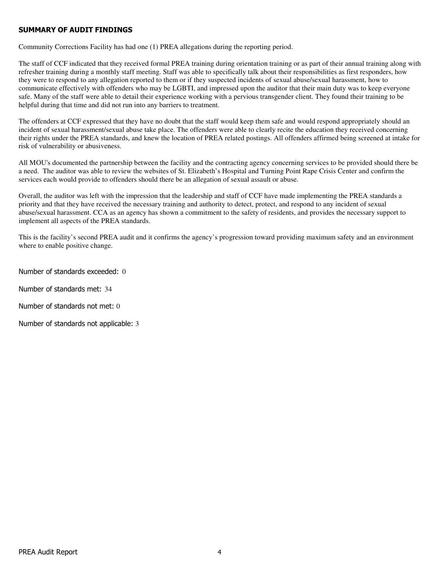# SUMMARY OF AUDIT FINDINGS

Community Corrections Facility has had one (1) PREA allegations during the reporting period.

The staff of CCF indicated that they received formal PREA training during orientation training or as part of their annual training along with refresher training during a monthly staff meeting. Staff was able to specifically talk about their responsibilities as first responders, how they were to respond to any allegation reported to them or if they suspected incidents of sexual abuse/sexual harassment, how to communicate effectively with offenders who may be LGBTI, and impressed upon the auditor that their main duty was to keep everyone safe. Many of the staff were able to detail their experience working with a pervious transgender client. They found their training to be helpful during that time and did not run into any barriers to treatment.

The offenders at CCF expressed that they have no doubt that the staff would keep them safe and would respond appropriately should an incident of sexual harassment/sexual abuse take place. The offenders were able to clearly recite the education they received concerning their rights under the PREA standards, and knew the location of PREA related postings. All offenders affirmed being screened at intake for risk of vulnerability or abusiveness.

All MOU's documented the partnership between the facility and the contracting agency concerning services to be provided should there be a need. The auditor was able to review the websites of St. Elizabeth's Hospital and Turning Point Rape Crisis Center and confirm the services each would provide to offenders should there be an allegation of sexual assault or abuse.

Overall, the auditor was left with the impression that the leadership and staff of CCF have made implementing the PREA standards a priority and that they have received the necessary training and authority to detect, protect, and respond to any incident of sexual abuse/sexual harassment. CCA as an agency has shown a commitment to the safety of residents, and provides the necessary support to implement all aspects of the PREA standards.

This is the facility's second PREA audit and it confirms the agency's progression toward providing maximum safety and an environment where to enable positive change.

Number of standards exceeded: 0

Number of standards met: 34

Number of standards not met: 0

Number of standards not applicable: 3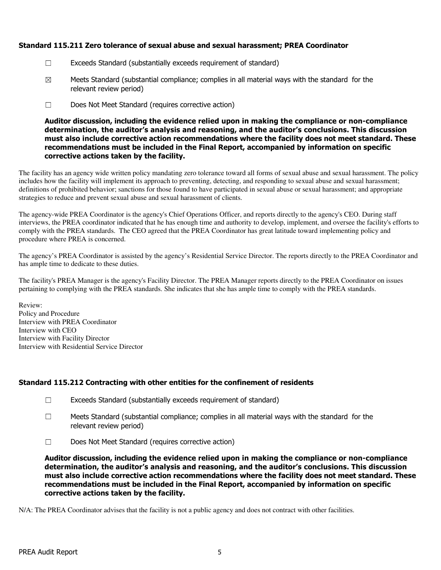# Standard 115.211 Zero tolerance of sexual abuse and sexual harassment; PREA Coordinator

- ☐ Exceeds Standard (substantially exceeds requirement of standard)
- $\boxtimes$  Meets Standard (substantial compliance; complies in all material ways with the standard for the relevant review period)
- ☐ Does Not Meet Standard (requires corrective action)

Auditor discussion, including the evidence relied upon in making the compliance or non-compliance determination, the auditor's analysis and reasoning, and the auditor's conclusions. This discussion must also include corrective action recommendations where the facility does not meet standard. These recommendations must be included in the Final Report, accompanied by information on specific corrective actions taken by the facility.

The facility has an agency wide written policy mandating zero tolerance toward all forms of sexual abuse and sexual harassment. The policy includes how the facility will implement its approach to preventing, detecting, and responding to sexual abuse and sexual harassment; definitions of prohibited behavior; sanctions for those found to have participated in sexual abuse or sexual harassment; and appropriate strategies to reduce and prevent sexual abuse and sexual harassment of clients.

The agency-wide PREA Coordinator is the agency's Chief Operations Officer, and reports directly to the agency's CEO. During staff interviews, the PREA coordinator indicated that he has enough time and authority to develop, implement, and oversee the facility's efforts to comply with the PREA standards. The CEO agreed that the PREA Coordinator has great latitude toward implementing policy and procedure where PREA is concerned.

The agency's PREA Coordinator is assisted by the agency's Residential Service Director. The reports directly to the PREA Coordinator and has ample time to dedicate to these duties.

The facility's PREA Manager is the agency's Facility Director. The PREA Manager reports directly to the PREA Coordinator on issues pertaining to complying with the PREA standards. She indicates that she has ample time to comply with the PREA standards.

Review: Policy and Procedure Interview with PREA Coordinator Interview with CEO Interview with Facility Director Interview with Residential Service Director

# Standard 115.212 Contracting with other entities for the confinement of residents

- ☐ Exceeds Standard (substantially exceeds requirement of standard)
- $\Box$  Meets Standard (substantial compliance; complies in all material ways with the standard for the relevant review period)
- ☐ Does Not Meet Standard (requires corrective action)

Auditor discussion, including the evidence relied upon in making the compliance or non-compliance determination, the auditor's analysis and reasoning, and the auditor's conclusions. This discussion must also include corrective action recommendations where the facility does not meet standard. These recommendations must be included in the Final Report, accompanied by information on specific corrective actions taken by the facility.

N/A: The PREA Coordinator advises that the facility is not a public agency and does not contract with other facilities.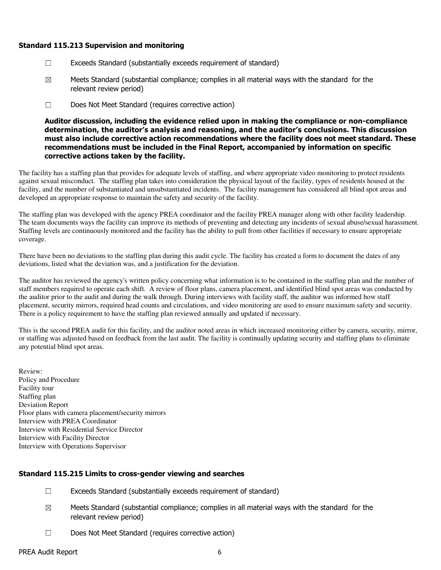### Standard 115.213 Supervision and monitoring

- ☐ Exceeds Standard (substantially exceeds requirement of standard)
- $\boxtimes$  Meets Standard (substantial compliance; complies in all material ways with the standard for the relevant review period)
- ☐ Does Not Meet Standard (requires corrective action)

Auditor discussion, including the evidence relied upon in making the compliance or non-compliance determination, the auditor's analysis and reasoning, and the auditor's conclusions. This discussion must also include corrective action recommendations where the facility does not meet standard. These recommendations must be included in the Final Report, accompanied by information on specific corrective actions taken by the facility.

The facility has a staffing plan that provides for adequate levels of staffing, and where appropriate video monitoring to protect residents against sexual misconduct. The staffing plan takes into consideration the physical layout of the facility, types of residents housed at the facility, and the number of substantiated and unsubstantiated incidents. The facility management has considered all blind spot areas and developed an appropriate response to maintain the safety and security of the facility.

The staffing plan was developed with the agency PREA coordinator and the facility PREA manager along with other facility leadership. The team documents ways the facility can improve its methods of preventing and detecting any incidents of sexual abuse/sexual harassment. Staffing levels are continuously monitored and the facility has the ability to pull from other facilities if necessary to ensure appropriate coverage.

There have been no deviations to the staffing plan during this audit cycle. The facility has created a form to document the dates of any deviations, listed what the deviation was, and a justification for the deviation.

The auditor has reviewed the agency's written policy concerning what information is to be contained in the staffing plan and the number of staff members required to operate each shift. A review of floor plans, camera placement, and identified blind spot areas was conducted by the auditor prior to the audit and during the walk through. During interviews with facility staff, the auditor was informed how staff placement, security mirrors, required head counts and circulations, and video monitoring are used to ensure maximum safety and security. There is a policy requirement to have the staffing plan reviewed annually and updated if necessary.

This is the second PREA audit for this facility, and the auditor noted areas in which increased monitoring either by camera, security, mirror, or staffing was adjusted based on feedback from the last audit. The facility is continually updating security and staffing plans to eliminate any potential blind spot areas.

Review: Policy and Procedure Facility tour Staffing plan Deviation Report Floor plans with camera placement/security mirrors Interview with PREA Coordinator Interview with Residential Service Director Interview with Facility Director Interview with Operations Supervisor

# Standard 115.215 Limits to cross-gender viewing and searches

- $\Box$  Exceeds Standard (substantially exceeds requirement of standard)
- $\boxtimes$  Meets Standard (substantial compliance; complies in all material ways with the standard for the relevant review period)
- ☐ Does Not Meet Standard (requires corrective action)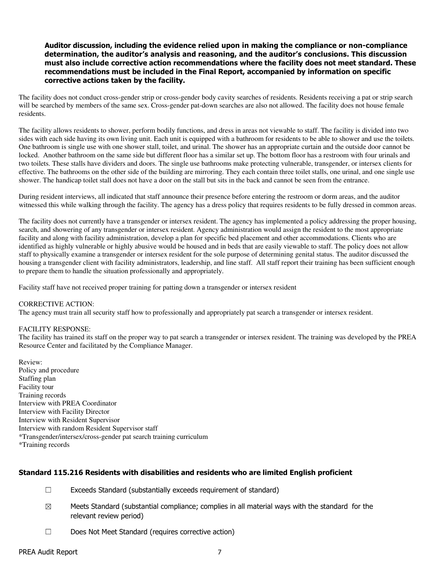### Auditor discussion, including the evidence relied upon in making the compliance or non-compliance determination, the auditor's analysis and reasoning, and the auditor's conclusions. This discussion must also include corrective action recommendations where the facility does not meet standard. These recommendations must be included in the Final Report, accompanied by information on specific corrective actions taken by the facility.

The facility does not conduct cross-gender strip or cross-gender body cavity searches of residents. Residents receiving a pat or strip search will be searched by members of the same sex. Cross-gender pat-down searches are also not allowed. The facility does not house female residents.

The facility allows residents to shower, perform bodily functions, and dress in areas not viewable to staff. The facility is divided into two sides with each side having its own living unit. Each unit is equipped with a bathroom for residents to be able to shower and use the toilets. One bathroom is single use with one shower stall, toilet, and urinal. The shower has an appropriate curtain and the outside door cannot be locked. Another bathroom on the same side but different floor has a similar set up. The bottom floor has a restroom with four urinals and two toilets. These stalls have dividers and doors. The single use bathrooms make protecting vulnerable, transgender, or intersex clients for effective. The bathrooms on the other side of the building are mirroring. They each contain three toilet stalls, one urinal, and one single use shower. The handicap toilet stall does not have a door on the stall but sits in the back and cannot be seen from the entrance.

During resident interviews, all indicated that staff announce their presence before entering the restroom or dorm areas, and the auditor witnessed this while walking through the facility. The agency has a dress policy that requires residents to be fully dressed in common areas.

The facility does not currently have a transgender or intersex resident. The agency has implemented a policy addressing the proper housing, search, and showering of any transgender or intersex resident. Agency administration would assign the resident to the most appropriate facility and along with facility administration, develop a plan for specific bed placement and other accommodations. Clients who are identified as highly vulnerable or highly abusive would be housed and in beds that are easily viewable to staff. The policy does not allow staff to physically examine a transgender or intersex resident for the sole purpose of determining genital status. The auditor discussed the housing a transgender client with facility administrators, leadership, and line staff. All staff report their training has been sufficient enough to prepare them to handle the situation professionally and appropriately.

Facility staff have not received proper training for patting down a transgender or intersex resident

### CORRECTIVE ACTION:

The agency must train all security staff how to professionally and appropriately pat search a transgender or intersex resident.

#### FACILITY RESPONSE:

The facility has trained its staff on the proper way to pat search a transgender or intersex resident. The training was developed by the PREA Resource Center and facilitated by the Compliance Manager.

Review: Policy and procedure Staffing plan Facility tour Training records Interview with PREA Coordinator Interview with Facility Director Interview with Resident Supervisor Interview with random Resident Supervisor staff \*Transgender/intersex/cross-gender pat search training curriculum \*Training records

### Standard 115.216 Residents with disabilities and residents who are limited English proficient

- ☐ Exceeds Standard (substantially exceeds requirement of standard)
- $\boxtimes$  Meets Standard (substantial compliance; complies in all material ways with the standard for the relevant review period)
- ☐ Does Not Meet Standard (requires corrective action)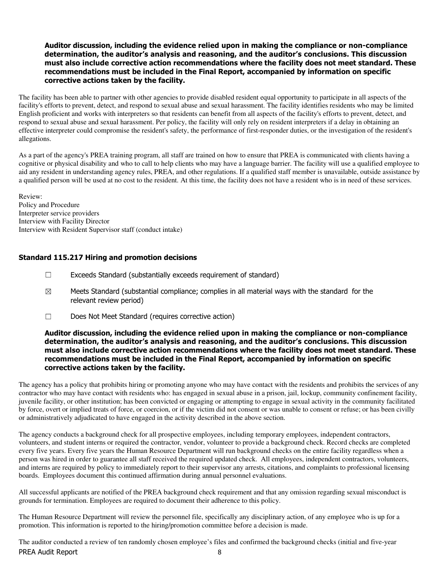### Auditor discussion, including the evidence relied upon in making the compliance or non-compliance determination, the auditor's analysis and reasoning, and the auditor's conclusions. This discussion must also include corrective action recommendations where the facility does not meet standard. These recommendations must be included in the Final Report, accompanied by information on specific corrective actions taken by the facility.

The facility has been able to partner with other agencies to provide disabled resident equal opportunity to participate in all aspects of the facility's efforts to prevent, detect, and respond to sexual abuse and sexual harassment. The facility identifies residents who may be limited English proficient and works with interpreters so that residents can benefit from all aspects of the facility's efforts to prevent, detect, and respond to sexual abuse and sexual harassment. Per policy, the facility will only rely on resident interpreters if a delay in obtaining an effective interpreter could compromise the resident's safety, the performance of first-responder duties, or the investigation of the resident's allegations.

As a part of the agency's PREA training program, all staff are trained on how to ensure that PREA is communicated with clients having a cognitive or physical disability and who to call to help clients who may have a language barrier. The facility will use a qualified employee to aid any resident in understanding agency rules, PREA, and other regulations. If a qualified staff member is unavailable, outside assistance by a qualified person will be used at no cost to the resident. At this time, the facility does not have a resident who is in need of these services.

Review: Policy and Procedure Interpreter service providers Interview with Facility Director Interview with Resident Supervisor staff (conduct intake)

# Standard 115.217 Hiring and promotion decisions

- $\Box$  Exceeds Standard (substantially exceeds requirement of standard)
- $\boxtimes$  Meets Standard (substantial compliance; complies in all material ways with the standard for the relevant review period)
- ☐ Does Not Meet Standard (requires corrective action)

### Auditor discussion, including the evidence relied upon in making the compliance or non-compliance determination, the auditor's analysis and reasoning, and the auditor's conclusions. This discussion must also include corrective action recommendations where the facility does not meet standard. These recommendations must be included in the Final Report, accompanied by information on specific corrective actions taken by the facility.

The agency has a policy that prohibits hiring or promoting anyone who may have contact with the residents and prohibits the services of any contractor who may have contact with residents who: has engaged in sexual abuse in a prison, jail, lockup, community confinement facility, juvenile facility, or other institution; has been convicted or engaging or attempting to engage in sexual activity in the community facilitated by force, overt or implied treats of force, or coercion, or if the victim did not consent or was unable to consent or refuse; or has been civilly or administratively adjudicated to have engaged in the activity described in the above section.

The agency conducts a background check for all prospective employees, including temporary employees, independent contractors, volunteers, and student interns or required the contractor, vendor, volunteer to provide a background check. Record checks are completed every five years. Every five years the Human Resource Department will run background checks on the entire facility regardless when a person was hired in order to guarantee all staff received the required updated check. All employees, independent contractors, volunteers, and interns are required by policy to immediately report to their supervisor any arrests, citations, and complaints to professional licensing boards. Employees document this continued affirmation during annual personnel evaluations.

All successful applicants are notified of the PREA background check requirement and that any omission regarding sexual misconduct is grounds for termination. Employees are required to document their adherence to this policy.

The Human Resource Department will review the personnel file, specifically any disciplinary action, of any employee who is up for a promotion. This information is reported to the hiring/promotion committee before a decision is made.

PREA Audit Report 8 The auditor conducted a review of ten randomly chosen employee's files and confirmed the background checks (initial and five-year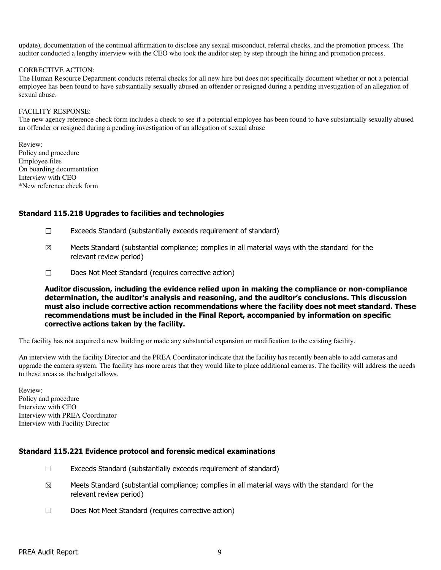update), documentation of the continual affirmation to disclose any sexual misconduct, referral checks, and the promotion process. The auditor conducted a lengthy interview with the CEO who took the auditor step by step through the hiring and promotion process.

#### CORRECTIVE ACTION:

The Human Resource Department conducts referral checks for all new hire but does not specifically document whether or not a potential employee has been found to have substantially sexually abused an offender or resigned during a pending investigation of an allegation of sexual abuse.

### FACILITY RESPONSE:

The new agency reference check form includes a check to see if a potential employee has been found to have substantially sexually abused an offender or resigned during a pending investigation of an allegation of sexual abuse

Review: Policy and procedure Employee files On boarding documentation Interview with CEO \*New reference check form

### Standard 115.218 Upgrades to facilities and technologies

- ☐ Exceeds Standard (substantially exceeds requirement of standard)
- $\boxtimes$  Meets Standard (substantial compliance; complies in all material ways with the standard for the relevant review period)
- ☐ Does Not Meet Standard (requires corrective action)

Auditor discussion, including the evidence relied upon in making the compliance or non-compliance determination, the auditor's analysis and reasoning, and the auditor's conclusions. This discussion must also include corrective action recommendations where the facility does not meet standard. These recommendations must be included in the Final Report, accompanied by information on specific corrective actions taken by the facility.

The facility has not acquired a new building or made any substantial expansion or modification to the existing facility.

An interview with the facility Director and the PREA Coordinator indicate that the facility has recently been able to add cameras and upgrade the camera system. The facility has more areas that they would like to place additional cameras. The facility will address the needs to these areas as the budget allows.

Review: Policy and procedure Interview with CEO Interview with PREA Coordinator Interview with Facility Director

# Standard 115.221 Evidence protocol and forensic medical examinations

- $\Box$  Exceeds Standard (substantially exceeds requirement of standard)
- $\boxtimes$  Meets Standard (substantial compliance; complies in all material ways with the standard for the relevant review period)
- ☐ Does Not Meet Standard (requires corrective action)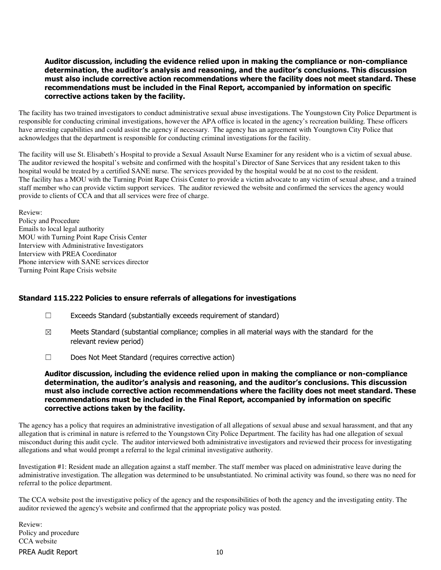### Auditor discussion, including the evidence relied upon in making the compliance or non-compliance determination, the auditor's analysis and reasoning, and the auditor's conclusions. This discussion must also include corrective action recommendations where the facility does not meet standard. These recommendations must be included in the Final Report, accompanied by information on specific corrective actions taken by the facility.

The facility has two trained investigators to conduct administrative sexual abuse investigations. The Youngstown City Police Department is responsible for conducting criminal investigations, however the APA office is located in the agency's recreation building. These officers have arresting capabilities and could assist the agency if necessary. The agency has an agreement with Youngtown City Police that acknowledges that the department is responsible for conducting criminal investigations for the facility.

The facility will use St. Elisabeth's Hospital to provide a Sexual Assault Nurse Examiner for any resident who is a victim of sexual abuse. The auditor reviewed the hospital's website and confirmed with the hospital's Director of Sane Services that any resident taken to this hospital would be treated by a certified SANE nurse. The services provided by the hospital would be at no cost to the resident. The facility has a MOU with the Turning Point Rape Crisis Center to provide a victim advocate to any victim of sexual abuse, and a trained staff member who can provide victim support services. The auditor reviewed the website and confirmed the services the agency would provide to clients of CCA and that all services were free of charge.

Review: Policy and Procedure Emails to local legal authority MOU with Turning Point Rape Crisis Center Interview with Administrative Investigators Interview with PREA Coordinator Phone interview with SANE services director Turning Point Rape Crisis website

# Standard 115.222 Policies to ensure referrals of allegations for investigations

- $\Box$  Exceeds Standard (substantially exceeds requirement of standard)
- $\boxtimes$  Meets Standard (substantial compliance; complies in all material ways with the standard for the relevant review period)
- ☐ Does Not Meet Standard (requires corrective action)

### Auditor discussion, including the evidence relied upon in making the compliance or non-compliance determination, the auditor's analysis and reasoning, and the auditor's conclusions. This discussion must also include corrective action recommendations where the facility does not meet standard. These recommendations must be included in the Final Report, accompanied by information on specific corrective actions taken by the facility.

The agency has a policy that requires an administrative investigation of all allegations of sexual abuse and sexual harassment, and that any allegation that is criminal in nature is referred to the Youngstown City Police Department. The facility has had one allegation of sexual misconduct during this audit cycle. The auditor interviewed both administrative investigators and reviewed their process for investigating allegations and what would prompt a referral to the legal criminal investigative authority.

Investigation #1: Resident made an allegation against a staff member. The staff member was placed on administrative leave during the administrative investigation. The allegation was determined to be unsubstantiated. No criminal activity was found, so there was no need for referral to the police department.

The CCA website post the investigative policy of the agency and the responsibilities of both the agency and the investigating entity. The auditor reviewed the agency's website and confirmed that the appropriate policy was posted.

PREA Audit Report 10 Review: Policy and procedure CCA website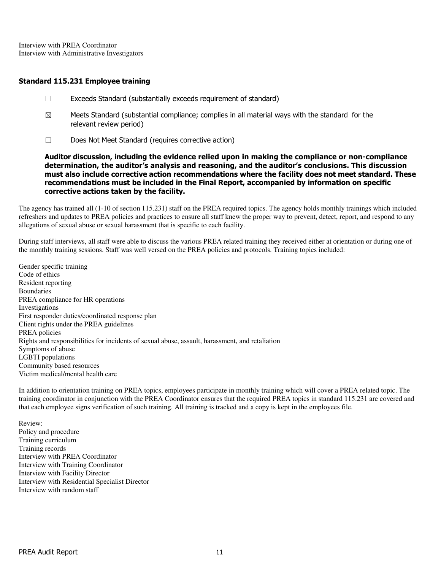Interview with PREA Coordinator Interview with Administrative Investigators

### Standard 115.231 Employee training

- ☐ Exceeds Standard (substantially exceeds requirement of standard)
- $\boxtimes$  Meets Standard (substantial compliance; complies in all material ways with the standard for the relevant review period)
- ☐ Does Not Meet Standard (requires corrective action)

Auditor discussion, including the evidence relied upon in making the compliance or non-compliance determination, the auditor's analysis and reasoning, and the auditor's conclusions. This discussion must also include corrective action recommendations where the facility does not meet standard. These recommendations must be included in the Final Report, accompanied by information on specific corrective actions taken by the facility.

The agency has trained all (1-10 of section 115.231) staff on the PREA required topics. The agency holds monthly trainings which included refreshers and updates to PREA policies and practices to ensure all staff knew the proper way to prevent, detect, report, and respond to any allegations of sexual abuse or sexual harassment that is specific to each facility.

During staff interviews, all staff were able to discuss the various PREA related training they received either at orientation or during one of the monthly training sessions. Staff was well versed on the PREA policies and protocols. Training topics included:

Gender specific training Code of ethics Resident reporting Boundaries PREA compliance for HR operations Investigations First responder duties/coordinated response plan Client rights under the PREA guidelines PREA policies Rights and responsibilities for incidents of sexual abuse, assault, harassment, and retaliation Symptoms of abuse LGBTI populations Community based resources Victim medical/mental health care

In addition to orientation training on PREA topics, employees participate in monthly training which will cover a PREA related topic. The training coordinator in conjunction with the PREA Coordinator ensures that the required PREA topics in standard 115.231 are covered and that each employee signs verification of such training. All training is tracked and a copy is kept in the employees file.

Review: Policy and procedure Training curriculum Training records Interview with PREA Coordinator Interview with Training Coordinator Interview with Facility Director Interview with Residential Specialist Director Interview with random staff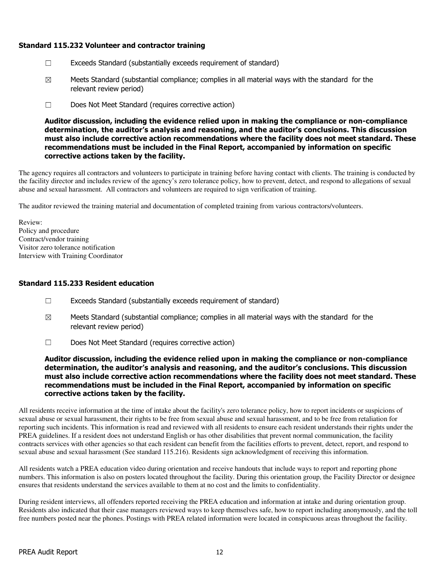# Standard 115.232 Volunteer and contractor training

- ☐ Exceeds Standard (substantially exceeds requirement of standard)
- $\boxtimes$  Meets Standard (substantial compliance; complies in all material ways with the standard for the relevant review period)
- ☐ Does Not Meet Standard (requires corrective action)

Auditor discussion, including the evidence relied upon in making the compliance or non-compliance determination, the auditor's analysis and reasoning, and the auditor's conclusions. This discussion must also include corrective action recommendations where the facility does not meet standard. These recommendations must be included in the Final Report, accompanied by information on specific corrective actions taken by the facility.

The agency requires all contractors and volunteers to participate in training before having contact with clients. The training is conducted by the facility director and includes review of the agency's zero tolerance policy, how to prevent, detect, and respond to allegations of sexual abuse and sexual harassment. All contractors and volunteers are required to sign verification of training.

The auditor reviewed the training material and documentation of completed training from various contractors/volunteers.

Review: Policy and procedure Contract/vendor training Visitor zero tolerance notification Interview with Training Coordinator

# Standard 115.233 Resident education

- ☐ Exceeds Standard (substantially exceeds requirement of standard)
- $\boxtimes$  Meets Standard (substantial compliance; complies in all material ways with the standard for the relevant review period)
- ☐ Does Not Meet Standard (requires corrective action)

Auditor discussion, including the evidence relied upon in making the compliance or non-compliance determination, the auditor's analysis and reasoning, and the auditor's conclusions. This discussion must also include corrective action recommendations where the facility does not meet standard. These recommendations must be included in the Final Report, accompanied by information on specific corrective actions taken by the facility.

All residents receive information at the time of intake about the facility's zero tolerance policy, how to report incidents or suspicions of sexual abuse or sexual harassment, their rights to be free from sexual abuse and sexual harassment, and to be free from retaliation for reporting such incidents. This information is read and reviewed with all residents to ensure each resident understands their rights under the PREA guidelines. If a resident does not understand English or has other disabilities that prevent normal communication, the facility contracts services with other agencies so that each resident can benefit from the facilities efforts to prevent, detect, report, and respond to sexual abuse and sexual harassment (See standard 115.216). Residents sign acknowledgment of receiving this information.

All residents watch a PREA education video during orientation and receive handouts that include ways to report and reporting phone numbers. This information is also on posters located throughout the facility. During this orientation group, the Facility Director or designee ensures that residents understand the services available to them at no cost and the limits to confidentiality.

During resident interviews, all offenders reported receiving the PREA education and information at intake and during orientation group. Residents also indicated that their case managers reviewed ways to keep themselves safe, how to report including anonymously, and the toll free numbers posted near the phones. Postings with PREA related information were located in conspicuous areas throughout the facility.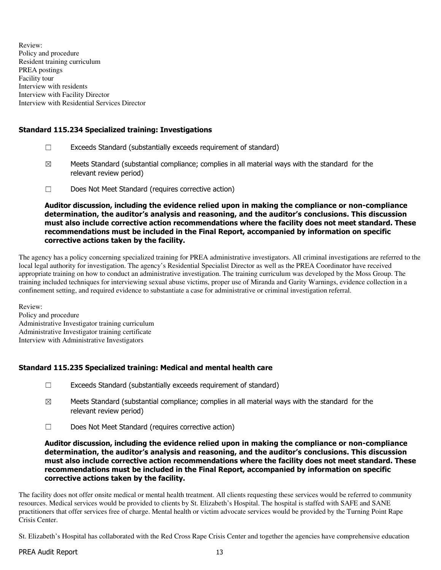Review: Policy and procedure Resident training curriculum PREA postings Facility tour Interview with residents Interview with Facility Director Interview with Residential Services Director

# Standard 115.234 Specialized training: Investigations

- $\Box$  Exceeds Standard (substantially exceeds requirement of standard)
- $\boxtimes$  Meets Standard (substantial compliance; complies in all material ways with the standard for the relevant review period)
- ☐ Does Not Meet Standard (requires corrective action)

Auditor discussion, including the evidence relied upon in making the compliance or non-compliance determination, the auditor's analysis and reasoning, and the auditor's conclusions. This discussion must also include corrective action recommendations where the facility does not meet standard. These recommendations must be included in the Final Report, accompanied by information on specific corrective actions taken by the facility.

The agency has a policy concerning specialized training for PREA administrative investigators. All criminal investigations are referred to the local legal authority for investigation. The agency's Residential Specialist Director as well as the PREA Coordinator have received appropriate training on how to conduct an administrative investigation. The training curriculum was developed by the Moss Group. The training included techniques for interviewing sexual abuse victims, proper use of Miranda and Garity Warnings, evidence collection in a confinement setting, and required evidence to substantiate a case for administrative or criminal investigation referral.

Review: Policy and procedure Administrative Investigator training curriculum Administrative Investigator training certificate Interview with Administrative Investigators

# Standard 115.235 Specialized training: Medical and mental health care

- ☐ Exceeds Standard (substantially exceeds requirement of standard)
- $\boxtimes$  Meets Standard (substantial compliance; complies in all material ways with the standard for the relevant review period)
- ☐ Does Not Meet Standard (requires corrective action)

Auditor discussion, including the evidence relied upon in making the compliance or non-compliance determination, the auditor's analysis and reasoning, and the auditor's conclusions. This discussion must also include corrective action recommendations where the facility does not meet standard. These recommendations must be included in the Final Report, accompanied by information on specific corrective actions taken by the facility.

The facility does not offer onsite medical or mental health treatment. All clients requesting these services would be referred to community resources. Medical services would be provided to clients by St. Elizabeth's Hospital. The hospital is staffed with SAFE and SANE practitioners that offer services free of charge. Mental health or victim advocate services would be provided by the Turning Point Rape Crisis Center.

St. Elizabeth's Hospital has collaborated with the Red Cross Rape Crisis Center and together the agencies have comprehensive education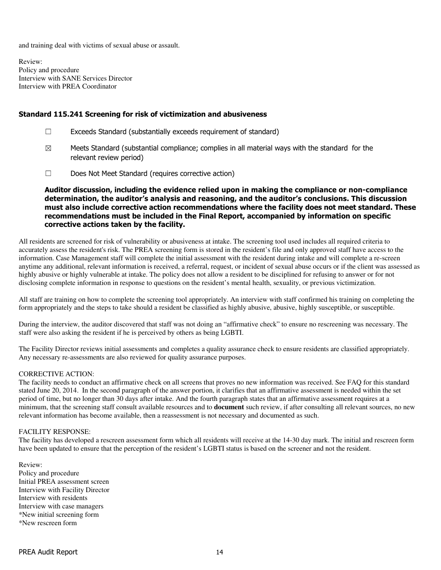and training deal with victims of sexual abuse or assault.

Review: Policy and procedure Interview with SANE Services Director Interview with PREA Coordinator

### Standard 115.241 Screening for risk of victimization and abusiveness

- ☐ Exceeds Standard (substantially exceeds requirement of standard)
- $\boxtimes$  Meets Standard (substantial compliance; complies in all material ways with the standard for the relevant review period)
- ☐ Does Not Meet Standard (requires corrective action)

Auditor discussion, including the evidence relied upon in making the compliance or non-compliance determination, the auditor's analysis and reasoning, and the auditor's conclusions. This discussion must also include corrective action recommendations where the facility does not meet standard. These recommendations must be included in the Final Report, accompanied by information on specific corrective actions taken by the facility.

All residents are screened for risk of vulnerability or abusiveness at intake. The screening tool used includes all required criteria to accurately assess the resident's risk. The PREA screening form is stored in the resident's file and only approved staff have access to the information. Case Management staff will complete the initial assessment with the resident during intake and will complete a re-screen anytime any additional, relevant information is received, a referral, request, or incident of sexual abuse occurs or if the client was assessed as highly abusive or highly vulnerable at intake. The policy does not allow a resident to be disciplined for refusing to answer or for not disclosing complete information in response to questions on the resident's mental health, sexuality, or previous victimization.

All staff are training on how to complete the screening tool appropriately. An interview with staff confirmed his training on completing the form appropriately and the steps to take should a resident be classified as highly abusive, abusive, highly susceptible, or susceptible.

During the interview, the auditor discovered that staff was not doing an "affirmative check" to ensure no rescreening was necessary. The staff were also asking the resident if he is perceived by others as being LGBTI.

The Facility Director reviews initial assessments and completes a quality assurance check to ensure residents are classified appropriately. Any necessary re-assessments are also reviewed for quality assurance purposes.

### CORRECTIVE ACTION:

The facility needs to conduct an affirmative check on all screens that proves no new information was received. See FAQ for this standard stated June 20, 2014. In the second paragraph of the answer portion, it clarifies that an affirmative assessment is needed within the set period of time, but no longer than 30 days after intake. And the fourth paragraph states that an affirmative assessment requires at a minimum, that the screening staff consult available resources and to **document** such review, if after consulting all relevant sources, no new relevant information has become available, then a reassessment is not necessary and documented as such.

#### FACILITY RESPONSE:

The facility has developed a rescreen assessment form which all residents will receive at the 14-30 day mark. The initial and rescreen form have been updated to ensure that the perception of the resident's LGBTI status is based on the screener and not the resident.

Review: Policy and procedure Initial PREA assessment screen Interview with Facility Director Interview with residents Interview with case managers \*New initial screening form \*New rescreen form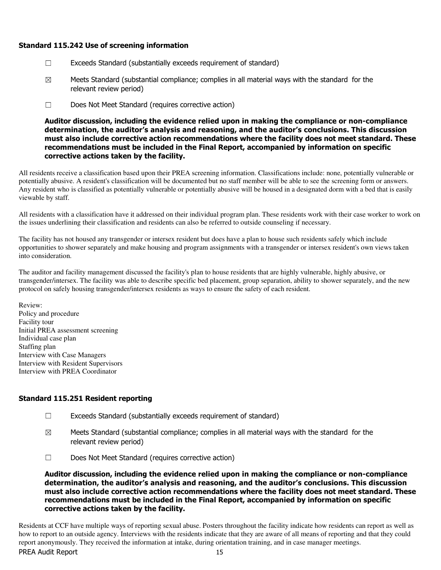### Standard 115.242 Use of screening information

- ☐ Exceeds Standard (substantially exceeds requirement of standard)
- $\boxtimes$  Meets Standard (substantial compliance; complies in all material ways with the standard for the relevant review period)
- ☐ Does Not Meet Standard (requires corrective action)

Auditor discussion, including the evidence relied upon in making the compliance or non-compliance determination, the auditor's analysis and reasoning, and the auditor's conclusions. This discussion must also include corrective action recommendations where the facility does not meet standard. These recommendations must be included in the Final Report, accompanied by information on specific corrective actions taken by the facility.

All residents receive a classification based upon their PREA screening information. Classifications include: none, potentially vulnerable or potentially abusive. A resident's classification will be documented but no staff member will be able to see the screening form or answers. Any resident who is classified as potentially vulnerable or potentially abusive will be housed in a designated dorm with a bed that is easily viewable by staff.

All residents with a classification have it addressed on their individual program plan. These residents work with their case worker to work on the issues underlining their classification and residents can also be referred to outside counseling if necessary.

The facility has not housed any transgender or intersex resident but does have a plan to house such residents safely which include opportunities to shower separately and make housing and program assignments with a transgender or intersex resident's own views taken into consideration.

The auditor and facility management discussed the facility's plan to house residents that are highly vulnerable, highly abusive, or transgender/intersex. The facility was able to describe specific bed placement, group separation, ability to shower separately, and the new protocol on safely housing transgender/intersex residents as ways to ensure the safety of each resident.

Review: Policy and procedure Facility tour Initial PREA assessment screening Individual case plan Staffing plan Interview with Case Managers Interview with Resident Supervisors Interview with PREA Coordinator

# Standard 115.251 Resident reporting

- $\Box$  Exceeds Standard (substantially exceeds requirement of standard)
- $\boxtimes$  Meets Standard (substantial compliance; complies in all material ways with the standard for the relevant review period)
- ☐ Does Not Meet Standard (requires corrective action)

Auditor discussion, including the evidence relied upon in making the compliance or non-compliance determination, the auditor's analysis and reasoning, and the auditor's conclusions. This discussion must also include corrective action recommendations where the facility does not meet standard. These recommendations must be included in the Final Report, accompanied by information on specific corrective actions taken by the facility.

PREA Audit Report 15 Residents at CCF have multiple ways of reporting sexual abuse. Posters throughout the facility indicate how residents can report as well as how to report to an outside agency. Interviews with the residents indicate that they are aware of all means of reporting and that they could report anonymously. They received the information at intake, during orientation training, and in case manager meetings.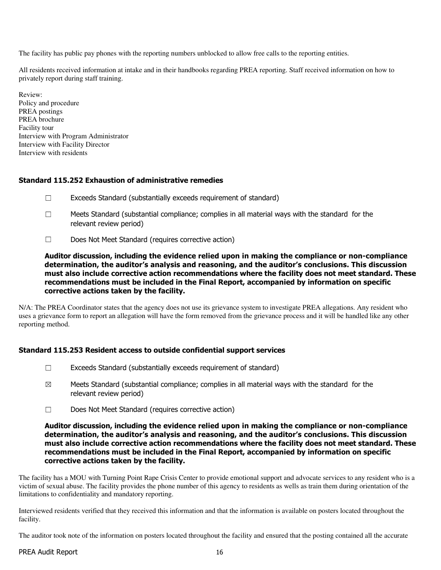The facility has public pay phones with the reporting numbers unblocked to allow free calls to the reporting entities.

All residents received information at intake and in their handbooks regarding PREA reporting. Staff received information on how to privately report during staff training.

Review: Policy and procedure PREA postings PREA brochure Facility tour Interview with Program Administrator Interview with Facility Director Interview with residents

# Standard 115.252 Exhaustion of administrative remedies

- ☐ Exceeds Standard (substantially exceeds requirement of standard)
- $\Box$  Meets Standard (substantial compliance; complies in all material ways with the standard for the relevant review period)
- ☐ Does Not Meet Standard (requires corrective action)

Auditor discussion, including the evidence relied upon in making the compliance or non-compliance determination, the auditor's analysis and reasoning, and the auditor's conclusions. This discussion must also include corrective action recommendations where the facility does not meet standard. These recommendations must be included in the Final Report, accompanied by information on specific corrective actions taken by the facility.

N/A: The PREA Coordinator states that the agency does not use its grievance system to investigate PREA allegations. Any resident who uses a grievance form to report an allegation will have the form removed from the grievance process and it will be handled like any other reporting method.

# Standard 115.253 Resident access to outside confidential support services

- ☐ Exceeds Standard (substantially exceeds requirement of standard)
- $\boxtimes$  Meets Standard (substantial compliance; complies in all material ways with the standard for the relevant review period)
- ☐ Does Not Meet Standard (requires corrective action)

Auditor discussion, including the evidence relied upon in making the compliance or non-compliance determination, the auditor's analysis and reasoning, and the auditor's conclusions. This discussion must also include corrective action recommendations where the facility does not meet standard. These recommendations must be included in the Final Report, accompanied by information on specific corrective actions taken by the facility.

The facility has a MOU with Turning Point Rape Crisis Center to provide emotional support and advocate services to any resident who is a victim of sexual abuse. The facility provides the phone number of this agency to residents as wells as train them during orientation of the limitations to confidentiality and mandatory reporting.

Interviewed residents verified that they received this information and that the information is available on posters located throughout the facility.

The auditor took note of the information on posters located throughout the facility and ensured that the posting contained all the accurate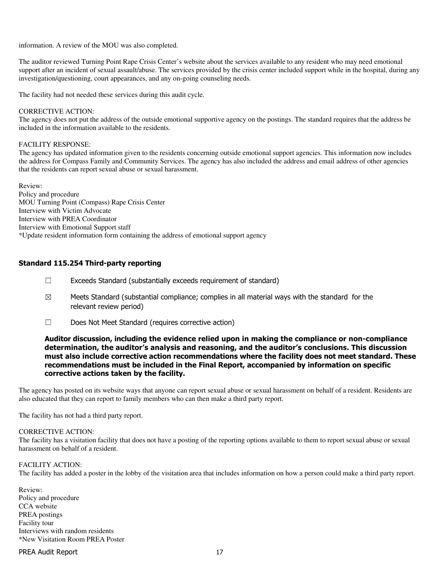information. A review of the MOU was also completed.

The auditor reviewed Turning Point Rape Crisis Center's website about the services available to any resident who may need emotional support after an incident of sexual assault/abuse. The services provided by the crisis center included support while in the hospital, during any investigation/questioning, court appearances, and any on-going counseling needs.

The facility had not needed these services during this audit cycle.

#### CORRECTIVE ACTION:

The agency does not put the address of the outside emotional supportive agency on the postings. The standard requires that the address be included in the information available to the residents.

#### FACILITY RESPONSE:

The agency has updated information given to the residents concerning outside emotional support agencies. This information now includes the address for Compass Family and Community Services. The agency has also included the address and email address of other agencies that the residents can report sexual abuse or sexual harassment.

Review: Policy and procedure MOU Turning Point (Compass) Rape Crisis Center Interview with Victim Advocate Interview with PREA Coordinator Interview with Emotional Support staff \*Update resident information form containing the address of emotional support agency

### Standard 115.254 Third-party reporting

- $\Box$  Exceeds Standard (substantially exceeds requirement of standard)
- $\boxtimes$  Meets Standard (substantial compliance; complies in all material ways with the standard for the relevant review period)
- ☐ Does Not Meet Standard (requires corrective action)

### Auditor discussion, including the evidence relied upon in making the compliance or non-compliance determination, the auditor's analysis and reasoning, and the auditor's conclusions. This discussion must also include corrective action recommendations where the facility does not meet standard. These recommendations must be included in the Final Report, accompanied by information on specific corrective actions taken by the facility.

The agency has posted on its website ways that anyone can report sexual abuse or sexual harassment on behalf of a resident. Residents are also educated that they can report to family members who can then make a third party report.

The facility has not had a third party report.

### CORRECTIVE ACTION:

The facility has a visitation facility that does not have a posting of the reporting options available to them to report sexual abuse or sexual harassment on behalf of a resident.

### FACILITY ACTION:

The facility has added a poster in the lobby of the visitation area that includes information on how a person could make a third party report.

Review: Policy and procedure CCA website PREA postings Facility tour Interviews with random residents \*New Visitation Room PREA Poster

### PREA Audit Report 17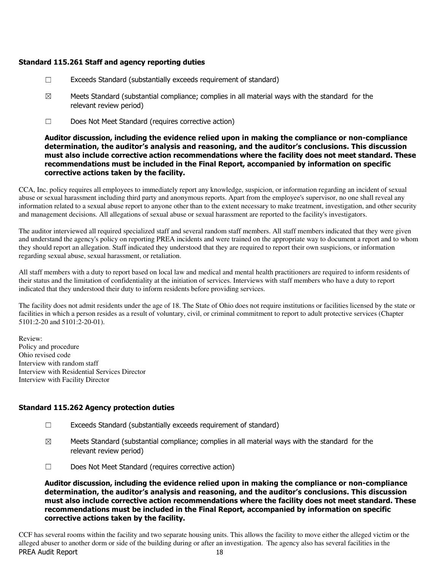# Standard 115.261 Staff and agency reporting duties

- ☐ Exceeds Standard (substantially exceeds requirement of standard)
- $\boxtimes$  Meets Standard (substantial compliance; complies in all material ways with the standard for the relevant review period)
- ☐ Does Not Meet Standard (requires corrective action)

Auditor discussion, including the evidence relied upon in making the compliance or non-compliance determination, the auditor's analysis and reasoning, and the auditor's conclusions. This discussion must also include corrective action recommendations where the facility does not meet standard. These recommendations must be included in the Final Report, accompanied by information on specific corrective actions taken by the facility.

CCA, Inc. policy requires all employees to immediately report any knowledge, suspicion, or information regarding an incident of sexual abuse or sexual harassment including third party and anonymous reports. Apart from the employee's supervisor, no one shall reveal any information related to a sexual abuse report to anyone other than to the extent necessary to make treatment, investigation, and other security and management decisions. All allegations of sexual abuse or sexual harassment are reported to the facility's investigators.

The auditor interviewed all required specialized staff and several random staff members. All staff members indicated that they were given and understand the agency's policy on reporting PREA incidents and were trained on the appropriate way to document a report and to whom they should report an allegation. Staff indicated they understood that they are required to report their own suspicions, or information regarding sexual abuse, sexual harassment, or retaliation.

All staff members with a duty to report based on local law and medical and mental health practitioners are required to inform residents of their status and the limitation of confidentiality at the initiation of services. Interviews with staff members who have a duty to report indicated that they understood their duty to inform residents before providing services.

The facility does not admit residents under the age of 18. The State of Ohio does not require institutions or facilities licensed by the state or facilities in which a person resides as a result of voluntary, civil, or criminal commitment to report to adult protective services (Chapter 5101:2-20 and 5101:2-20-01).

Review: Policy and procedure Ohio revised code Interview with random staff Interview with Residential Services Director Interview with Facility Director

# Standard 115.262 Agency protection duties

- ☐ Exceeds Standard (substantially exceeds requirement of standard)
- $\boxtimes$  Meets Standard (substantial compliance; complies in all material ways with the standard for the relevant review period)
- ☐ Does Not Meet Standard (requires corrective action)

Auditor discussion, including the evidence relied upon in making the compliance or non-compliance determination, the auditor's analysis and reasoning, and the auditor's conclusions. This discussion must also include corrective action recommendations where the facility does not meet standard. These recommendations must be included in the Final Report, accompanied by information on specific corrective actions taken by the facility.

PREA Audit Report 18 CCF has several rooms within the facility and two separate housing units. This allows the facility to move either the alleged victim or the alleged abuser to another dorm or side of the building during or after an investigation. The agency also has several facilities in the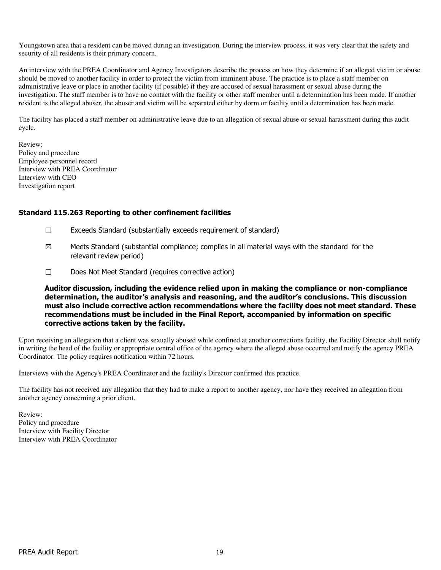Youngstown area that a resident can be moved during an investigation. During the interview process, it was very clear that the safety and security of all residents is their primary concern.

An interview with the PREA Coordinator and Agency Investigators describe the process on how they determine if an alleged victim or abuse should be moved to another facility in order to protect the victim from imminent abuse. The practice is to place a staff member on administrative leave or place in another facility (if possible) if they are accused of sexual harassment or sexual abuse during the investigation. The staff member is to have no contact with the facility or other staff member until a determination has been made. If another resident is the alleged abuser, the abuser and victim will be separated either by dorm or facility until a determination has been made.

The facility has placed a staff member on administrative leave due to an allegation of sexual abuse or sexual harassment during this audit cycle.

Review: Policy and procedure Employee personnel record Interview with PREA Coordinator Interview with CEO Investigation report

# Standard 115.263 Reporting to other confinement facilities

- $\Box$  Exceeds Standard (substantially exceeds requirement of standard)
- $\boxtimes$  Meets Standard (substantial compliance; complies in all material ways with the standard for the relevant review period)
- ☐ Does Not Meet Standard (requires corrective action)

Auditor discussion, including the evidence relied upon in making the compliance or non-compliance determination, the auditor's analysis and reasoning, and the auditor's conclusions. This discussion must also include corrective action recommendations where the facility does not meet standard. These recommendations must be included in the Final Report, accompanied by information on specific corrective actions taken by the facility.

Upon receiving an allegation that a client was sexually abused while confined at another corrections facility, the Facility Director shall notify in writing the head of the facility or appropriate central office of the agency where the alleged abuse occurred and notify the agency PREA Coordinator. The policy requires notification within 72 hours.

Interviews with the Agency's PREA Coordinator and the facility's Director confirmed this practice.

The facility has not received any allegation that they had to make a report to another agency, nor have they received an allegation from another agency concerning a prior client.

Review: Policy and procedure Interview with Facility Director Interview with PREA Coordinator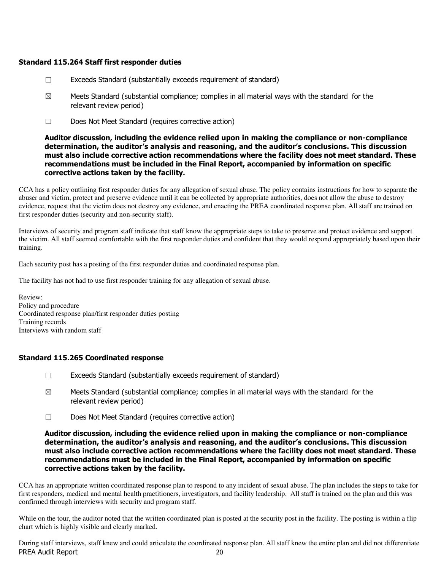### Standard 115.264 Staff first responder duties

- ☐ Exceeds Standard (substantially exceeds requirement of standard)
- $\boxtimes$  Meets Standard (substantial compliance; complies in all material ways with the standard for the relevant review period)
- ☐ Does Not Meet Standard (requires corrective action)

Auditor discussion, including the evidence relied upon in making the compliance or non-compliance determination, the auditor's analysis and reasoning, and the auditor's conclusions. This discussion must also include corrective action recommendations where the facility does not meet standard. These recommendations must be included in the Final Report, accompanied by information on specific corrective actions taken by the facility.

CCA has a policy outlining first responder duties for any allegation of sexual abuse. The policy contains instructions for how to separate the abuser and victim, protect and preserve evidence until it can be collected by appropriate authorities, does not allow the abuse to destroy evidence, request that the victim does not destroy any evidence, and enacting the PREA coordinated response plan. All staff are trained on first responder duties (security and non-security staff).

Interviews of security and program staff indicate that staff know the appropriate steps to take to preserve and protect evidence and support the victim. All staff seemed comfortable with the first responder duties and confident that they would respond appropriately based upon their training.

Each security post has a posting of the first responder duties and coordinated response plan.

The facility has not had to use first responder training for any allegation of sexual abuse.

Review: Policy and procedure Coordinated response plan/first responder duties posting Training records Interviews with random staff

# Standard 115.265 Coordinated response

- ☐ Exceeds Standard (substantially exceeds requirement of standard)
- $\boxtimes$  Meets Standard (substantial compliance; complies in all material ways with the standard for the relevant review period)
- ☐ Does Not Meet Standard (requires corrective action)

### Auditor discussion, including the evidence relied upon in making the compliance or non-compliance determination, the auditor's analysis and reasoning, and the auditor's conclusions. This discussion must also include corrective action recommendations where the facility does not meet standard. These recommendations must be included in the Final Report, accompanied by information on specific corrective actions taken by the facility.

CCA has an appropriate written coordinated response plan to respond to any incident of sexual abuse. The plan includes the steps to take for first responders, medical and mental health practitioners, investigators, and facility leadership. All staff is trained on the plan and this was confirmed through interviews with security and program staff.

While on the tour, the auditor noted that the written coordinated plan is posted at the security post in the facility. The posting is within a flip chart which is highly visible and clearly marked.

PREA Audit Report 20 During staff interviews, staff knew and could articulate the coordinated response plan. All staff knew the entire plan and did not differentiate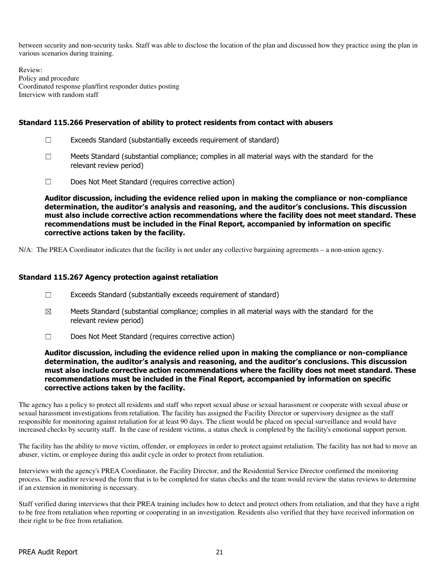between security and non-security tasks. Staff was able to disclose the location of the plan and discussed how they practice using the plan in various scenarios during training.

Review: Policy and procedure Coordinated response plan/first responder duties posting Interview with random staff

# Standard 115.266 Preservation of ability to protect residents from contact with abusers

- $\Box$  Exceeds Standard (substantially exceeds requirement of standard)
- $\Box$  Meets Standard (substantial compliance; complies in all material ways with the standard for the relevant review period)
- ☐ Does Not Meet Standard (requires corrective action)

Auditor discussion, including the evidence relied upon in making the compliance or non-compliance determination, the auditor's analysis and reasoning, and the auditor's conclusions. This discussion must also include corrective action recommendations where the facility does not meet standard. These recommendations must be included in the Final Report, accompanied by information on specific corrective actions taken by the facility.

N/A: The PREA Coordinator indicates that the facility is not under any collective bargaining agreements – a non-union agency.

# Standard 115.267 Agency protection against retaliation

- $\Box$  Exceeds Standard (substantially exceeds requirement of standard)
- $\boxtimes$  Meets Standard (substantial compliance; complies in all material ways with the standard for the relevant review period)
- ☐ Does Not Meet Standard (requires corrective action)

Auditor discussion, including the evidence relied upon in making the compliance or non-compliance determination, the auditor's analysis and reasoning, and the auditor's conclusions. This discussion must also include corrective action recommendations where the facility does not meet standard. These recommendations must be included in the Final Report, accompanied by information on specific corrective actions taken by the facility.

The agency has a policy to protect all residents and staff who report sexual abuse or sexual harassment or cooperate with sexual abuse or sexual harassment investigations from retaliation. The facility has assigned the Facility Director or supervisory designee as the staff responsible for monitoring against retaliation for at least 90 days. The client would be placed on special surveillance and would have increased checks by security staff. In the case of resident victims, a status check is completed by the facility's emotional support person.

The facility has the ability to move victim, offender, or employees in order to protect against retaliation. The facility has not had to move an abuser, victim, or employee during this audit cycle in order to protect from retaliation.

Interviews with the agency's PREA Coordinator, the Facility Director, and the Residential Service Director confirmed the monitoring process. The auditor reviewed the form that is to be completed for status checks and the team would review the status reviews to determine if an extension in monitoring is necessary.

Staff verified during interviews that their PREA training includes how to detect and protect others from retaliation, and that they have a right to be free from retaliation when reporting or cooperating in an investigation. Residents also verified that they have received information on their right to be free from retaliation.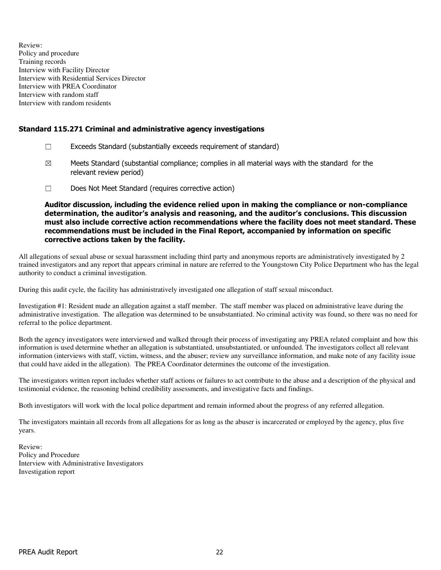Review: Policy and procedure Training records Interview with Facility Director Interview with Residential Services Director Interview with PREA Coordinator Interview with random staff Interview with random residents

# Standard 115.271 Criminal and administrative agency investigations

- ☐ Exceeds Standard (substantially exceeds requirement of standard)
- $\boxtimes$  Meets Standard (substantial compliance; complies in all material ways with the standard for the relevant review period)
- ☐ Does Not Meet Standard (requires corrective action)

Auditor discussion, including the evidence relied upon in making the compliance or non-compliance determination, the auditor's analysis and reasoning, and the auditor's conclusions. This discussion must also include corrective action recommendations where the facility does not meet standard. These recommendations must be included in the Final Report, accompanied by information on specific corrective actions taken by the facility.

All allegations of sexual abuse or sexual harassment including third party and anonymous reports are administratively investigated by 2 trained investigators and any report that appears criminal in nature are referred to the Youngstown City Police Department who has the legal authority to conduct a criminal investigation.

During this audit cycle, the facility has administratively investigated one allegation of staff sexual misconduct.

Investigation #1: Resident made an allegation against a staff member. The staff member was placed on administrative leave during the administrative investigation. The allegation was determined to be unsubstantiated. No criminal activity was found, so there was no need for referral to the police department.

Both the agency investigators were interviewed and walked through their process of investigating any PREA related complaint and how this information is used determine whether an allegation is substantiated, unsubstantiated, or unfounded. The investigators collect all relevant information (interviews with staff, victim, witness, and the abuser; review any surveillance information, and make note of any facility issue that could have aided in the allegation). The PREA Coordinator determines the outcome of the investigation.

The investigators written report includes whether staff actions or failures to act contribute to the abuse and a description of the physical and testimonial evidence, the reasoning behind credibility assessments, and investigative facts and findings.

Both investigators will work with the local police department and remain informed about the progress of any referred allegation.

The investigators maintain all records from all allegations for as long as the abuser is incarcerated or employed by the agency, plus five years.

Review: Policy and Procedure Interview with Administrative Investigators Investigation report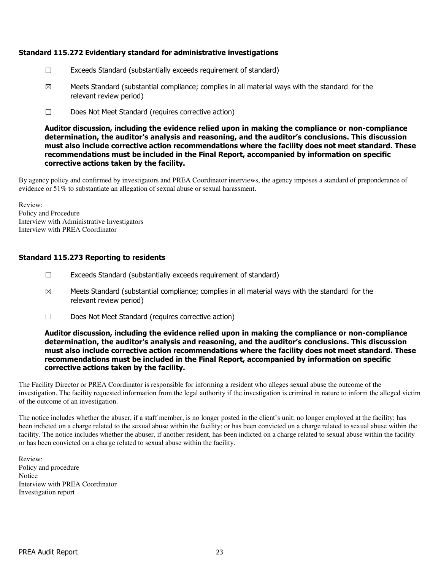# Standard 115.272 Evidentiary standard for administrative investigations

- $\Box$  Exceeds Standard (substantially exceeds requirement of standard)
- $\boxtimes$  Meets Standard (substantial compliance; complies in all material ways with the standard for the relevant review period)
- ☐ Does Not Meet Standard (requires corrective action)

Auditor discussion, including the evidence relied upon in making the compliance or non-compliance determination, the auditor's analysis and reasoning, and the auditor's conclusions. This discussion must also include corrective action recommendations where the facility does not meet standard. These recommendations must be included in the Final Report, accompanied by information on specific corrective actions taken by the facility.

By agency policy and confirmed by investigators and PREA Coordinator interviews, the agency imposes a standard of preponderance of evidence or 51% to substantiate an allegation of sexual abuse or sexual harassment.

Review: Policy and Procedure Interview with Administrative Investigators Interview with PREA Coordinator

# Standard 115.273 Reporting to residents

- $\Box$  Exceeds Standard (substantially exceeds requirement of standard)
- $\boxtimes$  Meets Standard (substantial compliance; complies in all material ways with the standard for the relevant review period)
- ☐ Does Not Meet Standard (requires corrective action)

Auditor discussion, including the evidence relied upon in making the compliance or non-compliance determination, the auditor's analysis and reasoning, and the auditor's conclusions. This discussion must also include corrective action recommendations where the facility does not meet standard. These recommendations must be included in the Final Report, accompanied by information on specific corrective actions taken by the facility.

The Facility Director or PREA Coordinator is responsible for informing a resident who alleges sexual abuse the outcome of the investigation. The facility requested information from the legal authority if the investigation is criminal in nature to inform the alleged victim of the outcome of an investigation.

The notice includes whether the abuser, if a staff member, is no longer posted in the client's unit; no longer employed at the facility; has been indicted on a charge related to the sexual abuse within the facility; or has been convicted on a charge related to sexual abuse within the facility. The notice includes whether the abuser, if another resident, has been indicted on a charge related to sexual abuse within the facility or has been convicted on a charge related to sexual abuse within the facility.

Review: Policy and procedure Notice Interview with PREA Coordinator Investigation report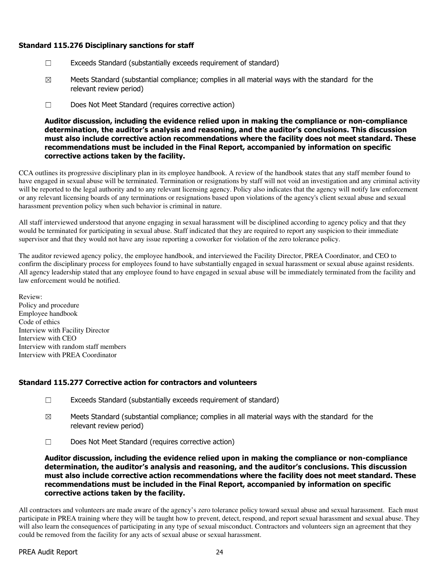# Standard 115.276 Disciplinary sanctions for staff

- ☐ Exceeds Standard (substantially exceeds requirement of standard)
- $\boxtimes$  Meets Standard (substantial compliance; complies in all material ways with the standard for the relevant review period)
- ☐ Does Not Meet Standard (requires corrective action)

Auditor discussion, including the evidence relied upon in making the compliance or non-compliance determination, the auditor's analysis and reasoning, and the auditor's conclusions. This discussion must also include corrective action recommendations where the facility does not meet standard. These recommendations must be included in the Final Report, accompanied by information on specific corrective actions taken by the facility.

CCA outlines its progressive disciplinary plan in its employee handbook. A review of the handbook states that any staff member found to have engaged in sexual abuse will be terminated. Termination or resignations by staff will not void an investigation and any criminal activity will be reported to the legal authority and to any relevant licensing agency. Policy also indicates that the agency will notify law enforcement or any relevant licensing boards of any terminations or resignations based upon violations of the agency's client sexual abuse and sexual harassment prevention policy when such behavior is criminal in nature.

All staff interviewed understood that anyone engaging in sexual harassment will be disciplined according to agency policy and that they would be terminated for participating in sexual abuse. Staff indicated that they are required to report any suspicion to their immediate supervisor and that they would not have any issue reporting a coworker for violation of the zero tolerance policy.

The auditor reviewed agency policy, the employee handbook, and interviewed the Facility Director, PREA Coordinator, and CEO to confirm the disciplinary process for employees found to have substantially engaged in sexual harassment or sexual abuse against residents. All agency leadership stated that any employee found to have engaged in sexual abuse will be immediately terminated from the facility and law enforcement would be notified.

Review: Policy and procedure Employee handbook Code of ethics Interview with Facility Director Interview with CEO Interview with random staff members Interview with PREA Coordinator

# Standard 115.277 Corrective action for contractors and volunteers

- ☐ Exceeds Standard (substantially exceeds requirement of standard)
- $\boxtimes$  Meets Standard (substantial compliance; complies in all material ways with the standard for the relevant review period)
- ☐ Does Not Meet Standard (requires corrective action)

Auditor discussion, including the evidence relied upon in making the compliance or non-compliance determination, the auditor's analysis and reasoning, and the auditor's conclusions. This discussion must also include corrective action recommendations where the facility does not meet standard. These recommendations must be included in the Final Report, accompanied by information on specific corrective actions taken by the facility.

All contractors and volunteers are made aware of the agency's zero tolerance policy toward sexual abuse and sexual harassment. Each must participate in PREA training where they will be taught how to prevent, detect, respond, and report sexual harassment and sexual abuse. They will also learn the consequences of participating in any type of sexual misconduct. Contractors and volunteers sign an agreement that they could be removed from the facility for any acts of sexual abuse or sexual harassment.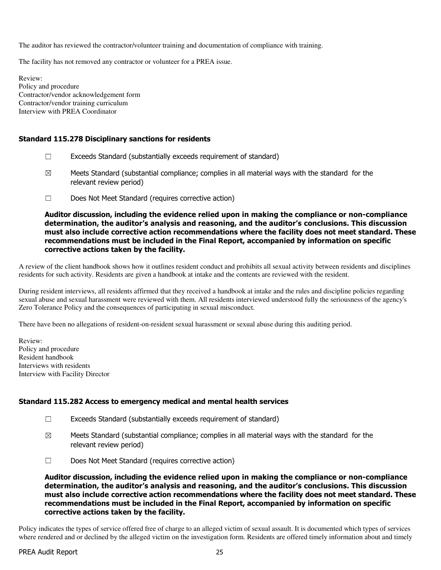The auditor has reviewed the contractor/volunteer training and documentation of compliance with training.

The facility has not removed any contractor or volunteer for a PREA issue.

Review: Policy and procedure Contractor/vendor acknowledgement form Contractor/vendor training curriculum Interview with PREA Coordinator

### Standard 115.278 Disciplinary sanctions for residents

- $\Box$  Exceeds Standard (substantially exceeds requirement of standard)
- $\boxtimes$  Meets Standard (substantial compliance; complies in all material ways with the standard for the relevant review period)
- ☐ Does Not Meet Standard (requires corrective action)

Auditor discussion, including the evidence relied upon in making the compliance or non-compliance determination, the auditor's analysis and reasoning, and the auditor's conclusions. This discussion must also include corrective action recommendations where the facility does not meet standard. These recommendations must be included in the Final Report, accompanied by information on specific corrective actions taken by the facility.

A review of the client handbook shows how it outlines resident conduct and prohibits all sexual activity between residents and disciplines residents for such activity. Residents are given a handbook at intake and the contents are reviewed with the resident.

During resident interviews, all residents affirmed that they received a handbook at intake and the rules and discipline policies regarding sexual abuse and sexual harassment were reviewed with them. All residents interviewed understood fully the seriousness of the agency's Zero Tolerance Policy and the consequences of participating in sexual misconduct.

There have been no allegations of resident-on-resident sexual harassment or sexual abuse during this auditing period.

Review: Policy and procedure Resident handbook Interviews with residents Interview with Facility Director

### Standard 115.282 Access to emergency medical and mental health services

- ☐ Exceeds Standard (substantially exceeds requirement of standard)
- $\boxtimes$  Meets Standard (substantial compliance; complies in all material ways with the standard for the relevant review period)
- ☐ Does Not Meet Standard (requires corrective action)

Auditor discussion, including the evidence relied upon in making the compliance or non-compliance determination, the auditor's analysis and reasoning, and the auditor's conclusions. This discussion must also include corrective action recommendations where the facility does not meet standard. These recommendations must be included in the Final Report, accompanied by information on specific corrective actions taken by the facility.

Policy indicates the types of service offered free of charge to an alleged victim of sexual assault. It is documented which types of services where rendered and or declined by the alleged victim on the investigation form. Residents are offered timely information about and timely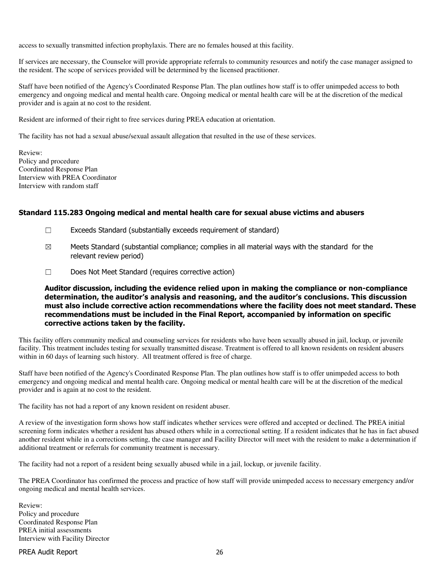access to sexually transmitted infection prophylaxis. There are no females housed at this facility.

If services are necessary, the Counselor will provide appropriate referrals to community resources and notify the case manager assigned to the resident. The scope of services provided will be determined by the licensed practitioner.

Staff have been notified of the Agency's Coordinated Response Plan. The plan outlines how staff is to offer unimpeded access to both emergency and ongoing medical and mental health care. Ongoing medical or mental health care will be at the discretion of the medical provider and is again at no cost to the resident.

Resident are informed of their right to free services during PREA education at orientation.

The facility has not had a sexual abuse/sexual assault allegation that resulted in the use of these services.

Review: Policy and procedure Coordinated Response Plan Interview with PREA Coordinator Interview with random staff

### Standard 115.283 Ongoing medical and mental health care for sexual abuse victims and abusers

- $\Box$  Exceeds Standard (substantially exceeds requirement of standard)
- $\boxtimes$  Meets Standard (substantial compliance; complies in all material ways with the standard for the relevant review period)
- ☐ Does Not Meet Standard (requires corrective action)

Auditor discussion, including the evidence relied upon in making the compliance or non-compliance determination, the auditor's analysis and reasoning, and the auditor's conclusions. This discussion must also include corrective action recommendations where the facility does not meet standard. These recommendations must be included in the Final Report, accompanied by information on specific corrective actions taken by the facility.

This facility offers community medical and counseling services for residents who have been sexually abused in jail, lockup, or juvenile facility. This treatment includes testing for sexually transmitted disease. Treatment is offered to all known residents on resident abusers within in 60 days of learning such history. All treatment offered is free of charge.

Staff have been notified of the Agency's Coordinated Response Plan. The plan outlines how staff is to offer unimpeded access to both emergency and ongoing medical and mental health care. Ongoing medical or mental health care will be at the discretion of the medical provider and is again at no cost to the resident.

The facility has not had a report of any known resident on resident abuser.

A review of the investigation form shows how staff indicates whether services were offered and accepted or declined. The PREA initial screening form indicates whether a resident has abused others while in a correctional setting. If a resident indicates that he has in fact abused another resident while in a corrections setting, the case manager and Facility Director will meet with the resident to make a determination if additional treatment or referrals for community treatment is necessary.

The facility had not a report of a resident being sexually abused while in a jail, lockup, or juvenile facility.

The PREA Coordinator has confirmed the process and practice of how staff will provide unimpeded access to necessary emergency and/or ongoing medical and mental health services.

Review: Policy and procedure Coordinated Response Plan PREA initial assessments Interview with Facility Director

PREA Audit Report 26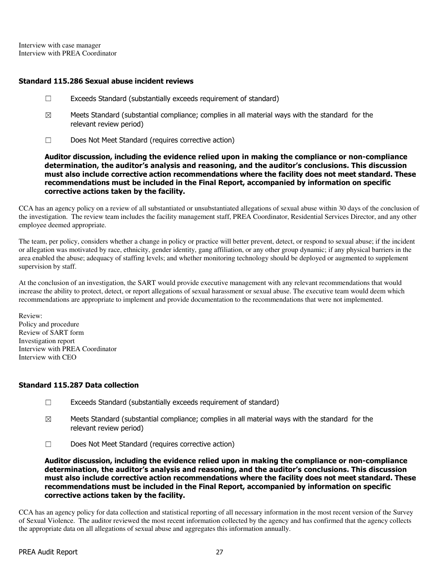Interview with case manager Interview with PREA Coordinator

### Standard 115.286 Sexual abuse incident reviews

- ☐ Exceeds Standard (substantially exceeds requirement of standard)
- $\boxtimes$  Meets Standard (substantial compliance; complies in all material ways with the standard for the relevant review period)
- ☐ Does Not Meet Standard (requires corrective action)

Auditor discussion, including the evidence relied upon in making the compliance or non-compliance determination, the auditor's analysis and reasoning, and the auditor's conclusions. This discussion must also include corrective action recommendations where the facility does not meet standard. These recommendations must be included in the Final Report, accompanied by information on specific corrective actions taken by the facility.

CCA has an agency policy on a review of all substantiated or unsubstantiated allegations of sexual abuse within 30 days of the conclusion of the investigation. The review team includes the facility management staff, PREA Coordinator, Residential Services Director, and any other employee deemed appropriate.

The team, per policy, considers whether a change in policy or practice will better prevent, detect, or respond to sexual abuse; if the incident or allegation was motivated by race, ethnicity, gender identity, gang affiliation, or any other group dynamic; if any physical barriers in the area enabled the abuse; adequacy of staffing levels; and whether monitoring technology should be deployed or augmented to supplement supervision by staff.

At the conclusion of an investigation, the SART would provide executive management with any relevant recommendations that would increase the ability to protect, detect, or report allegations of sexual harassment or sexual abuse. The executive team would deem which recommendations are appropriate to implement and provide documentation to the recommendations that were not implemented.

Review: Policy and procedure Review of SART form Investigation report Interview with PREA Coordinator Interview with CEO

# Standard 115.287 Data collection

- ☐ Exceeds Standard (substantially exceeds requirement of standard)
- $\boxtimes$  Meets Standard (substantial compliance; complies in all material ways with the standard for the relevant review period)
- ☐ Does Not Meet Standard (requires corrective action)

Auditor discussion, including the evidence relied upon in making the compliance or non-compliance determination, the auditor's analysis and reasoning, and the auditor's conclusions. This discussion must also include corrective action recommendations where the facility does not meet standard. These recommendations must be included in the Final Report, accompanied by information on specific corrective actions taken by the facility.

CCA has an agency policy for data collection and statistical reporting of all necessary information in the most recent version of the Survey of Sexual Violence. The auditor reviewed the most recent information collected by the agency and has confirmed that the agency collects the appropriate data on all allegations of sexual abuse and aggregates this information annually.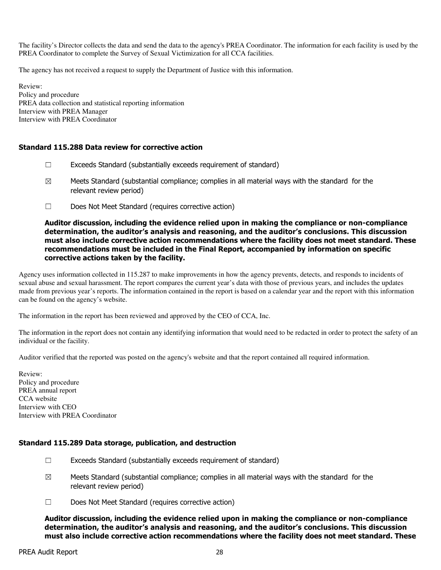The facility's Director collects the data and send the data to the agency's PREA Coordinator. The information for each facility is used by the PREA Coordinator to complete the Survey of Sexual Victimization for all CCA facilities.

The agency has not received a request to supply the Department of Justice with this information.

Review: Policy and procedure PREA data collection and statistical reporting information Interview with PREA Manager Interview with PREA Coordinator

# Standard 115.288 Data review for corrective action

- $\Box$  Exceeds Standard (substantially exceeds requirement of standard)
- $\boxtimes$  Meets Standard (substantial compliance; complies in all material ways with the standard for the relevant review period)
- ☐ Does Not Meet Standard (requires corrective action)

### Auditor discussion, including the evidence relied upon in making the compliance or non-compliance determination, the auditor's analysis and reasoning, and the auditor's conclusions. This discussion must also include corrective action recommendations where the facility does not meet standard. These recommendations must be included in the Final Report, accompanied by information on specific corrective actions taken by the facility.

Agency uses information collected in 115.287 to make improvements in how the agency prevents, detects, and responds to incidents of sexual abuse and sexual harassment. The report compares the current year's data with those of previous years, and includes the updates made from previous year's reports. The information contained in the report is based on a calendar year and the report with this information can be found on the agency's website.

The information in the report has been reviewed and approved by the CEO of CCA, Inc.

The information in the report does not contain any identifying information that would need to be redacted in order to protect the safety of an individual or the facility.

Auditor verified that the reported was posted on the agency's website and that the report contained all required information.

Review: Policy and procedure PREA annual report CCA website Interview with CEO Interview with PREA Coordinator

# Standard 115.289 Data storage, publication, and destruction

- $\Box$  Exceeds Standard (substantially exceeds requirement of standard)
- $\boxtimes$  Meets Standard (substantial compliance; complies in all material ways with the standard for the relevant review period)
- ☐ Does Not Meet Standard (requires corrective action)

Auditor discussion, including the evidence relied upon in making the compliance or non-compliance determination, the auditor's analysis and reasoning, and the auditor's conclusions. This discussion must also include corrective action recommendations where the facility does not meet standard. These